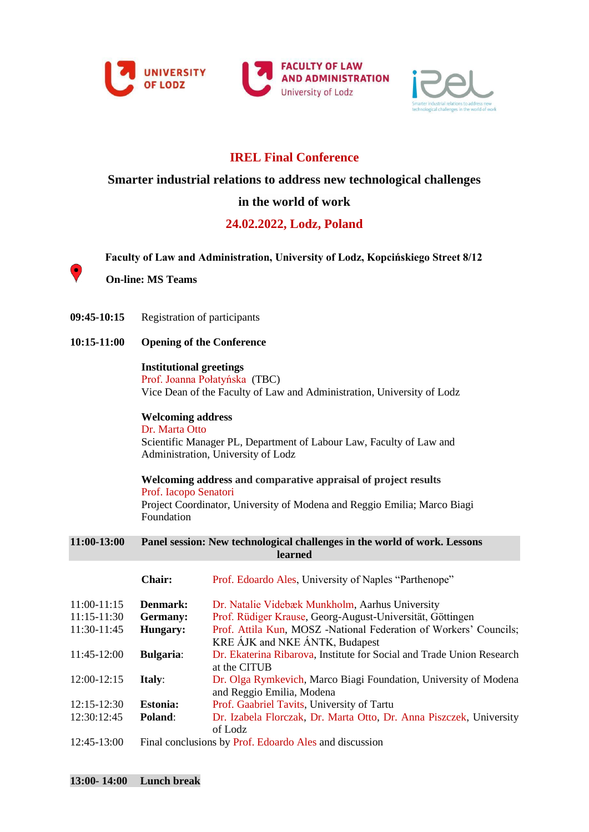





## **IREL Final Conference**

**Smarter industrial relations to address new technological challenges** 

## **in the world of work**

# **24.02.2022, Lodz, Poland**

**Faculty of Law and Administration, University of Lodz, Kopcińskiego Street 8/12**

**On-line: MS Teams**

۰

- **09:45-10:15** Registration of participants
- **10:15-11:00 Opening of the Conference**

### **Institutional greetings**

Prof. Joanna Połatyńska (TBC) Vice Dean of the Faculty of Law and Administration, University of Lodz

**Welcoming address** Dr. Marta Otto Scientific Manager PL, Department of Labour Law, Faculty of Law and Administration, University of Lodz

**Welcoming address and comparative appraisal of project results**

Prof. Iacopo Senatori

Project Coordinator, University of Modena and Reggio Emilia; Marco Biagi Foundation

#### **11:00-13:00 Panel session: New technological challenges in the world of work. Lessons learned**

|                 | Chair:                                                 | Prof. Edoardo Ales, University of Naples "Parthenope"                 |
|-----------------|--------------------------------------------------------|-----------------------------------------------------------------------|
| $11:00-11:15$   | Denmark:                                               | Dr. Natalie Videbæk Munkholm, Aarhus University                       |
| $11:15-11:30$   | Germany:                                               | Prof. Rüdiger Krause, Georg-August-Universität, Göttingen             |
| 11:30-11:45     | Hungary:                                               | Prof. Attila Kun, MOSZ -National Federation of Workers' Councils;     |
|                 |                                                        | KRE AJK and NKE ANTK, Budapest                                        |
| 11:45-12:00     | <b>Bulgaria:</b>                                       | Dr. Ekaterina Ribarova, Institute for Social and Trade Union Research |
|                 |                                                        | at the CITUB                                                          |
| 12:00-12:15     | <b>Italy:</b>                                          | Dr. Olga Rymkevich, Marco Biagi Foundation, University of Modena      |
|                 |                                                        | and Reggio Emilia, Modena                                             |
| $12:15 - 12:30$ | <b>Estonia:</b>                                        | Prof. Gaabriel Tavits, University of Tartu                            |
| 12:30:12:45     | Poland:                                                | Dr. Izabela Florczak, Dr. Marta Otto, Dr. Anna Piszczek, University   |
|                 |                                                        | of Lodz                                                               |
| 12:45-13:00     | Final conclusions by Prof. Edoardo Ales and discussion |                                                                       |